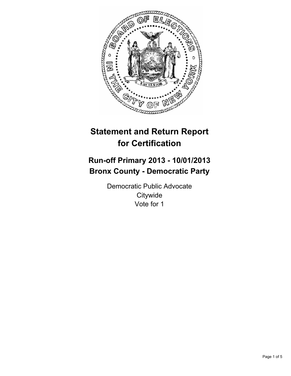

# **Statement and Return Report for Certification**

## **Run-off Primary 2013 - 10/01/2013 Bronx County - Democratic Party**

Democratic Public Advocate **Citywide** Vote for 1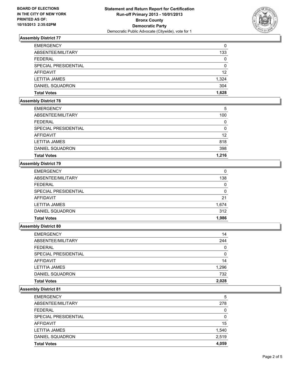

## **Assembly District 77**

| <b>EMERGENCY</b>     | 0        |
|----------------------|----------|
| ABSENTEE/MILITARY    | 133      |
| <b>FEDERAL</b>       | 0        |
| SPECIAL PRESIDENTIAL | $\Omega$ |
| AFFIDAVIT            | 12       |
| <b>LETITIA JAMES</b> | 1,324    |
| DANIEL SQUADRON      | 304      |
| <b>Total Votes</b>   | 1.628    |

## **Assembly District 78**

| <b>EMERGENCY</b>     | 5     |
|----------------------|-------|
| ABSENTEE/MILITARY    | 100   |
| <b>FEDERAL</b>       | 0     |
| SPECIAL PRESIDENTIAL | 0     |
| AFFIDAVIT            | 12    |
| LETITIA JAMES        | 818   |
| DANIEL SQUADRON      | 398   |
| <b>Total Votes</b>   | 1,216 |

## **Assembly District 79**

| <b>EMERGENCY</b>     | 0     |
|----------------------|-------|
| ABSENTEE/MILITARY    | 138   |
| <b>FEDERAL</b>       | 0     |
| SPECIAL PRESIDENTIAL | 0     |
| <b>AFFIDAVIT</b>     | 21    |
| <b>LETITIA JAMES</b> | 1,674 |
| DANIEL SQUADRON      | 312   |
| <b>Total Votes</b>   | 1,986 |

#### **Assembly District 80**

| <b>Total Votes</b>          | 2,028 |
|-----------------------------|-------|
| DANIEL SQUADRON             | 732   |
| <b>LETITIA JAMES</b>        | 1,296 |
| AFFIDAVIT                   | 14    |
| <b>SPECIAL PRESIDENTIAL</b> | 0     |
| <b>FEDERAL</b>              | 0     |
| ABSENTEE/MILITARY           | 244   |
| <b>EMERGENCY</b>            | 14    |

## **Assembly District 81**

| <b>EMERGENCY</b>     | 5        |
|----------------------|----------|
| ABSENTEE/MILITARY    | 278      |
| <b>FEDERAL</b>       | $\Omega$ |
| SPECIAL PRESIDENTIAL | 0        |
| AFFIDAVIT            | 15       |
| <b>LETITIA JAMES</b> | 1,540    |
| DANIEL SQUADRON      | 2,519    |
| <b>Total Votes</b>   | 4.059    |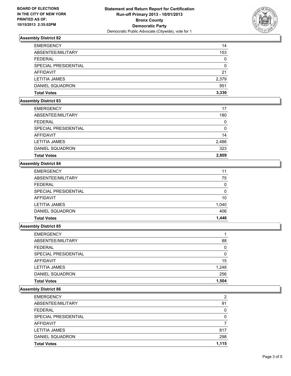

## **Assembly District 82**

| <b>EMERGENCY</b>     | 14       |
|----------------------|----------|
| ABSENTEE/MILITARY    | 153      |
| <b>FEDERAL</b>       | 0        |
| SPECIAL PRESIDENTIAL | $\Omega$ |
| AFFIDAVIT            | 21       |
| <b>LETITIA JAMES</b> | 2,379    |
| DANIEL SQUADRON      | 951      |
| <b>Total Votes</b>   | 3.330    |

## **Assembly District 83**

| <b>EMERGENCY</b>       | 17    |
|------------------------|-------|
| ABSENTEE/MILITARY      | 180   |
| <b>FEDERAL</b>         | 0     |
| SPECIAL PRESIDENTIAL   | 0     |
| AFFIDAVIT              | 14    |
| LETITIA JAMES          | 2,486 |
| <b>DANIEL SQUADRON</b> | 323   |
| <b>Total Votes</b>     | 2,809 |

## **Assembly District 84**

| <b>EMERGENCY</b>     | 11    |
|----------------------|-------|
| ABSENTEE/MILITARY    | 75    |
| <b>FEDERAL</b>       | 0     |
| SPECIAL PRESIDENTIAL | 0     |
| AFFIDAVIT            | 10    |
| <b>LETITIA JAMES</b> | 1,040 |
| DANIEL SQUADRON      | 406   |
| <b>Total Votes</b>   | 1.446 |

#### **Assembly District 85**

| <b>Total Votes</b>          | 1.504 |
|-----------------------------|-------|
| DANIEL SQUADRON             | 256   |
| <b>LETITIA JAMES</b>        | 1,248 |
| AFFIDAVIT                   | 15    |
| <b>SPECIAL PRESIDENTIAL</b> | 0     |
| <b>FEDERAL</b>              | 0     |
| ABSENTEE/MILITARY           | 88    |
| <b>EMERGENCY</b>            |       |

## **Assembly District 86**

| <b>EMERGENCY</b>     | 2     |
|----------------------|-------|
| ABSENTEE/MILITARY    | 91    |
| <b>FEDERAL</b>       | 0     |
| SPECIAL PRESIDENTIAL | 0     |
| AFFIDAVIT            |       |
| <b>LETITIA JAMES</b> | 817   |
| DANIEL SQUADRON      | 298   |
| <b>Total Votes</b>   | 1.115 |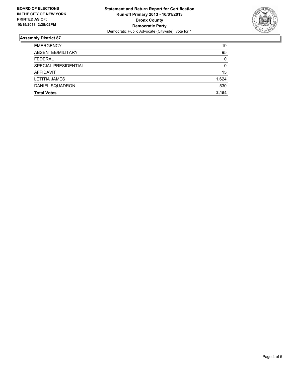

## **Assembly District 87**

| <b>Total Votes</b>   | 2.154    |
|----------------------|----------|
| DANIEL SQUADRON      | 530      |
|                      |          |
| <b>LETITIA JAMES</b> | 1,624    |
| <b>AFFIDAVIT</b>     | 15       |
| SPECIAL PRESIDENTIAL | $\Omega$ |
| <b>FEDERAL</b>       | 0        |
| ABSENTEE/MILITARY    | 95       |
| <b>EMERGENCY</b>     | 19       |